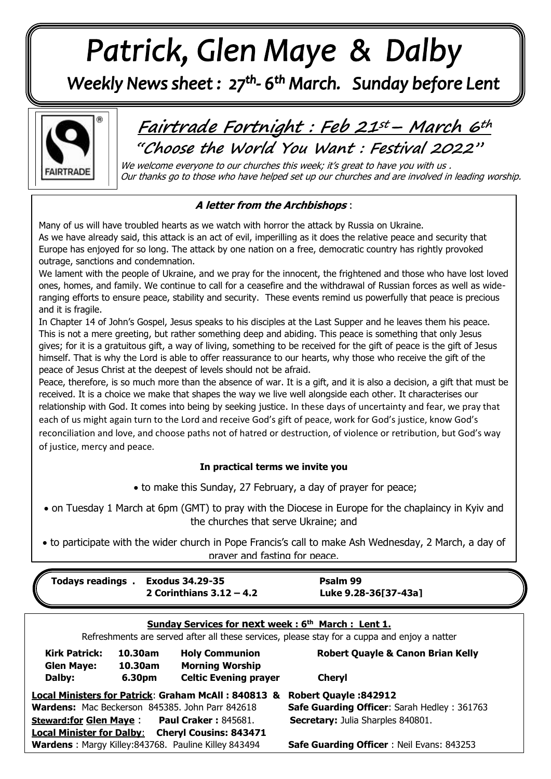# Patrick, Glen Maye & Dalby

Weekly News sheet: 27<sup>th</sup>-6<sup>th</sup> March. Sunday before Lent



  **Fairtrade Fortnight : Feb 21st– March 6th "Choose the World You Want : Festival 2022"**

We welcome everyone to our churches this week; it's great to have you with us . Our thanks go to those who have helped set up our churches and are involved in leading worship.

## **A letter from the Archbishops** :

Europe has enjoyed for so long. The at<br>outrage, sanctions and condemnation. Many of us will have troubled hearts as we watch with horror the attack by Russia on Ukraine. As we have already said, this attack is an act of evil, imperilling as it does the relative peace and security that Europe has enjoyed for so long. The attack by one nation on a free, democratic country has rightly provoked

We lament with the people of Ukraine, and we pray for the innocent, the frightened and those who have lost loved  ranging efforts to ensure peace, stability and security. These events remind us powerfully that peace is precious ones, homes, and family. We continue to call for a ceasefire and the withdrawal of Russian forces as well as wideand it is fragile.

*June: Trinity Sunday* himself. That is why the Lord is able to offer reassurance to our hearts, why those who receive the gift of the peace of Jesus Christ at the deepest of levels should not be afraid.<br>Peace, therefore, is so much more than the absence of war. It is a In Chapter 14 of John's Gospel, Jesus speaks to his disciples at the Last Supper and he leaves them his peace. This is not a mere greeting, but rather something deep and abiding. This peace is something that only Jesus gives; for it is a gratuitous gift, a way of living, something to be received for the gift of peace is the gift of Jesus

 received. It is a choice we make that shapes the way we live well alongside each other. It characterises our relationship with God. It comes into being by seeking justice. In these days of uncertainty and fear, we pray that<br>each of us might again turn to the Lord and receive God's gift of peace, work for God's justice, know God's Peace, therefore, is so much more than the absence of war. It is a gift, and it is also a decision, a gift that must be each of us might again turn to the Lord and receive God's gift of peace, work for God's justice, know God's reconciliation and love, and choose paths not of hatred or destruction, of violence or retribution, but God's way of justice, mercy and peace.

## **In practical terms we invite you**

to make this Sunday, 27 February, a day of prayer for peace;

 on Tuesday 1 March at 6pm (GMT) to pray with the Diocese in Europe for the chaplaincy in Kyiv and the churches that serve Ukraine; and

 to participate with the wider church in Pope Francis's call to make Ash Wednesday, 2 March, a day of prayer and fasting for peace.

| <b>Fodays readings</b> .                                                                                |                    | <b>Exodus 34.29-35</b><br>2 Corinthians $3.12 - 4.2$ | Psalm 99<br>Luke 9.28-36[37-43a]             |
|---------------------------------------------------------------------------------------------------------|--------------------|------------------------------------------------------|----------------------------------------------|
| Sunday Services for next week: 6 <sup>th</sup> March: Lent 1.                                           |                    |                                                      |                                              |
| Refreshments are served after all these services, please stay for a cuppa and enjoy a natter            |                    |                                                      |                                              |
| <b>Kirk Patrick:</b><br><b>Glen Maye:</b>                                                               | 10.30am<br>10.30am | <b>Holy Communion</b><br><b>Morning Worship</b>      | <b>Robert Quayle &amp; Canon Brian Kelly</b> |
| Dalby:                                                                                                  | 6.30pm             | <b>Celtic Evening prayer</b>                         | <b>Cheryl</b>                                |
| Local Ministers for Patrick: Graham McAll: 840813 &<br><b>Robert Quayle: 842912</b>                     |                    |                                                      |                                              |
| <b>Wardens:</b> Mac Beckerson 845385. John Parr 842618                                                  |                    |                                                      | Safe Guarding Officer: Sarah Hedley: 361763  |
| <b>Steward:for Glen Maye:</b> Paul Craker: 845681.                                                      |                    |                                                      | <b>Secretary: Julia Sharples 840801.</b>     |
| <b>Local Minister for Dalby:</b> Cheryl Cousins: 843471                                                 |                    |                                                      |                                              |
| Wardens: Margy Killey:843768. Pauline Killey 843494<br><b>Safe Guarding Officer: Neil Evans: 843253</b> |                    |                                                      |                                              |